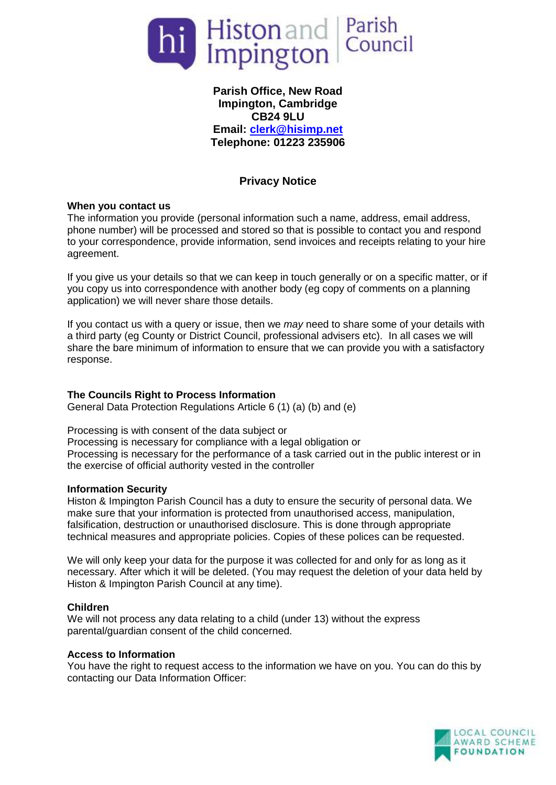

# **Parish Office, New Road Impington, Cambridge CB24 9LU Email: [clerk@hisimp.net](mailto:clerk@hisimp.net) Telephone: 01223 235906**

# **Privacy Notice**

## **When you contact us**

The information you provide (personal information such a name, address, email address, phone number) will be processed and stored so that is possible to contact you and respond to your correspondence, provide information, send invoices and receipts relating to your hire agreement.

If you give us your details so that we can keep in touch generally or on a specific matter, or if you copy us into correspondence with another body (eg copy of comments on a planning application) we will never share those details.

If you contact us with a query or issue, then we *may* need to share some of your details with a third party (eg County or District Council, professional advisers etc). In all cases we will share the bare minimum of information to ensure that we can provide you with a satisfactory response.

## **The Councils Right to Process Information**

General Data Protection Regulations Article 6 (1) (a) (b) and (e)

Processing is with consent of the data subject or Processing is necessary for compliance with a legal obligation or Processing is necessary for the performance of a task carried out in the public interest or in the exercise of official authority vested in the controller

## **Information Security**

Histon & Impington Parish Council has a duty to ensure the security of personal data. We make sure that your information is protected from unauthorised access, manipulation, falsification, destruction or unauthorised disclosure. This is done through appropriate technical measures and appropriate policies. Copies of these polices can be requested.

We will only keep your data for the purpose it was collected for and only for as long as it necessary. After which it will be deleted. (You may request the deletion of your data held by Histon & Impington Parish Council at any time).

## **Children**

We will not process any data relating to a child (under 13) without the express parental/guardian consent of the child concerned.

## **Access to Information**

You have the right to request access to the information we have on you. You can do this by contacting our Data Information Officer: